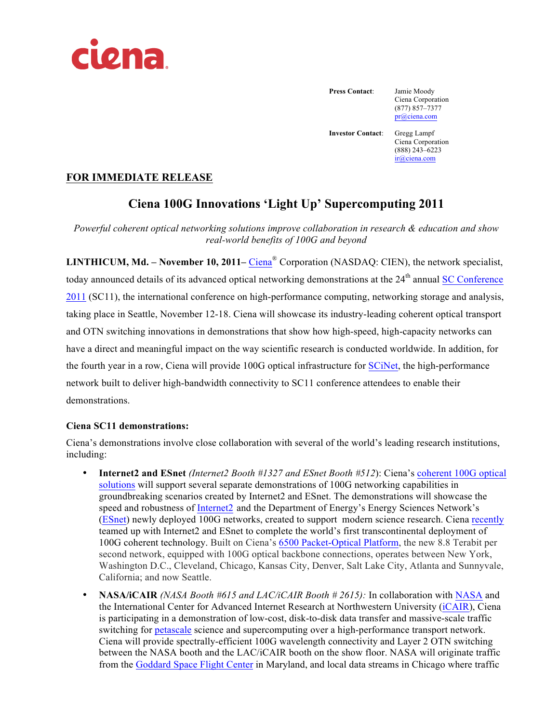

**Press Contact**: Jamie Moody

Ciena Corporation (877) 857–7377 pr@ciena.com

**Investor Contact**: Gregg Lampf

Ciena Corporation (888) 243–6223 ir@ciena.com

# **FOR IMMEDIATE RELEASE**

# **Ciena 100G Innovations 'Light Up' Supercomputing 2011**

*Powerful coherent optical networking solutions improve collaboration in research & education and show real-world benefits of 100G and beyond*

**LINTHICUM, Md. – November 10, 2011–** Ciena® Corporation (NASDAQ: CIEN), the network specialist, today announced details of its advanced optical networking demonstrations at the 24<sup>th</sup> annual SC Conference 2011 (SC11), the international conference on high-performance computing, networking storage and analysis, taking place in Seattle, November 12-18. Ciena will showcase its industry-leading coherent optical transport and OTN switching innovations in demonstrations that show how high-speed, high-capacity networks can have a direct and meaningful impact on the way scientific research is conducted worldwide. In addition, for the fourth year in a row, Ciena will provide 100G optical infrastructure for SCiNet, the high-performance network built to deliver high-bandwidth connectivity to SC11 conference attendees to enable their demonstrations.

## **Ciena SC11 demonstrations:**

Ciena's demonstrations involve close collaboration with several of the world's leading research institutions, including:

- **Internet2 and ESnet** *(Internet2 Booth #1327 and ESnet Booth #512*): Ciena's coherent 100G optical solutions will support several separate demonstrations of 100G networking capabilities in groundbreaking scenarios created by Internet2 and ESnet. The demonstrations will showcase the speed and robustness of Internet2 and the Department of Energy's Energy Sciences Network's (ESnet) newly deployed 100G networks, created to support modern science research. Ciena recently teamed up with Internet2 and ESnet to complete the world's first transcontinental deployment of 100G coherent technology. Built on Ciena's 6500 Packet-Optical Platform, the new 8.8 Terabit per second network, equipped with 100G optical backbone connections, operates between New York, Washington D.C., Cleveland, Chicago, Kansas City, Denver, Salt Lake City, Atlanta and Sunnyvale, California; and now Seattle.
- **NASA/iCAIR** *(NASA Booth #615 and LAC/iCAIR Booth # 2615):* In collaboration with NASA and the International Center for Advanced Internet Research at Northwestern University (iCAIR), Ciena is participating in a demonstration of low-cost, disk-to-disk data transfer and massive-scale traffic switching for petascale science and supercomputing over a high-performance transport network. Ciena will provide spectrally-efficient 100G wavelength connectivity and Layer 2 OTN switching between the NASA booth and the LAC/iCAIR booth on the show floor. NASA will originate traffic from the Goddard Space Flight Center in Maryland, and local data streams in Chicago where traffic